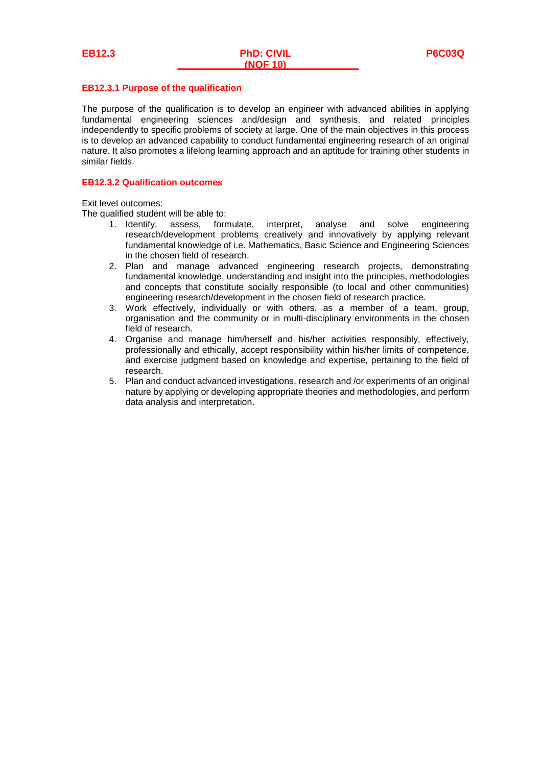### **EB12.3.1 Purpose of the qualification**

The purpose of the qualification is to develop an engineer with advanced abilities in applying fundamental engineering sciences and/design and synthesis, and related principles independently to specific problems of society at large. One of the main objectives in this process is to develop an advanced capability to conduct fundamental engineering research of an original nature. It also promotes a lifelong learning approach and an aptitude for training other students in similar fields.

#### **EB12.3.2 Qualification outcomes**

Exit level outcomes:

The qualified student will be able to:

- 1. Identify, assess, formulate, interpret, analyse and solve engineering research/development problems creatively and innovatively by applying relevant fundamental knowledge of i.e. Mathematics, Basic Science and Engineering Sciences in the chosen field of research.
- 2. Plan and manage advanced engineering research projects, demonstrating fundamental knowledge, understanding and insight into the principles, methodologies and concepts that constitute socially responsible (to local and other communities) engineering research/development in the chosen field of research practice.
- 3. Work effectively, individually or with others, as a member of a team, group, organisation and the community or in multi-disciplinary environments in the chosen field of research.
- 4. Organise and manage him/herself and his/her activities responsibly, effectively, professionally and ethically, accept responsibility within his/her limits of competence, and exercise judgment based on knowledge and expertise, pertaining to the field of research.
- 5. Plan and conduct advanced investigations, research and /or experiments of an original nature by applying or developing appropriate theories and methodologies, and perform data analysis and interpretation.